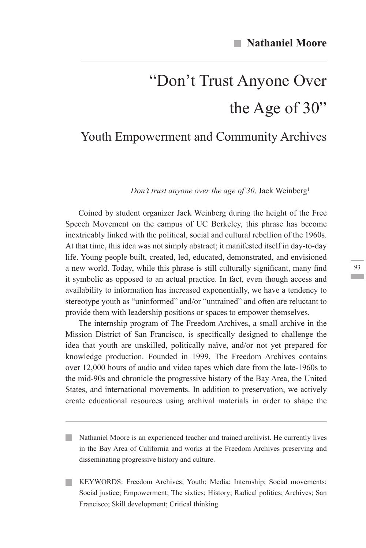# "Don't Trust Anyone Over the Age of 30"

# Youth Empowerment and Community Archives

*Don't trust anyone over the age of 30*. Jack Weinberg1

Coined by student organizer Jack Weinberg during the height of the Free Speech Movement on the campus of UC Berkeley, this phrase has become inextricably linked with the political, social and cultural rebellion of the 1960s. At that time, this idea was not simply abstract; it manifested itself in day-to-day life. Young people built, created, led, educated, demonstrated, and envisioned a new world. Today, while this phrase is still culturally significant, many find it symbolic as opposed to an actual practice. In fact, even though access and availability to information has increased exponentially, we have a tendency to stereotype youth as "uninformed" and/or "untrained" and often are reluctant to provide them with leadership positions or spaces to empower themselves.

The internship program of The Freedom Archives, a small archive in the Mission District of San Francisco, is specifically designed to challenge the idea that youth are unskilled, politically naïve, and/or not yet prepared for knowledge production. Founded in 1999, The Freedom Archives contains over 12,000 hours of audio and video tapes which date from the late-1960s to the mid-90s and chronicle the progressive history of the Bay Area, the United States, and international movements. In addition to preservation, we actively create educational resources using archival materials in order to shape the

Nathaniel Moore is an experienced teacher and trained archivist. He currently lives in the Bay Area of California and works at the Freedom Archives preserving and disseminating progressive history and culture.

KEYWORDS: Freedom Archives; Youth; Media; Internship; Social movements; Social justice; Empowerment; The sixties; History; Radical politics; Archives; San Francisco; Skill development; Critical thinking.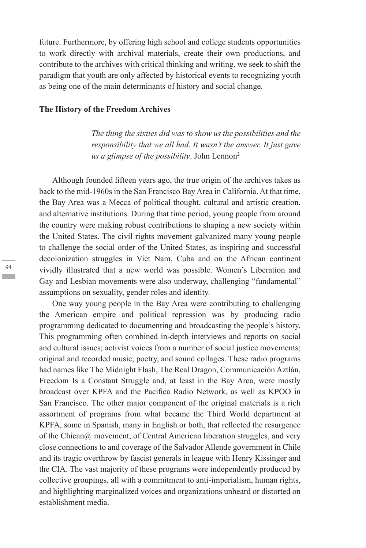future. Furthermore, by offering high school and college students opportunities to work directly with archival materials, create their own productions, and contribute to the archives with critical thinking and writing, we seek to shift the paradigm that youth are only affected by historical events to recognizing youth as being one of the main determinants of history and social change.

#### **The History of the Freedom Archives**

*The thing the sixties did was to show us the possibilities and the responsibility that we all had. It wasn't the answer. It just gave us a glimpse of the possibility*. John Lennon<sup>2</sup>

Although founded fifteen years ago, the true origin of the archives takes us back to the mid-1960s in the San Francisco Bay Area in California. At that time, the Bay Area was a Mecca of political thought, cultural and artistic creation, and alternative institutions. During that time period, young people from around the country were making robust contributions to shaping a new society within the United States. The civil rights movement galvanized many young people to challenge the social order of the United States, as inspiring and successful decolonization struggles in Viet Nam, Cuba and on the African continent vividly illustrated that a new world was possible. Women's Liberation and Gay and Lesbian movements were also underway, challenging "fundamental" assumptions on sexuality, gender roles and identity.

One way young people in the Bay Area were contributing to challenging the American empire and political repression was by producing radio programming dedicated to documenting and broadcasting the people's history. This programming often combined in-depth interviews and reports on social and cultural issues; activist voices from a number of social justice movements; original and recorded music, poetry, and sound collages. These radio programs had names like The Midnight Flash, The Real Dragon, Communicación Aztlán, Freedom Is a Constant Struggle and, at least in the Bay Area, were mostly broadcast over KPFA and the Pacifica Radio Network, as well as KPOO in San Francisco. The other major component of the original materials is a rich assortment of programs from what became the Third World department at KPFA, some in Spanish, many in English or both, that reflected the resurgence of the Chican $\omega$  movement, of Central American liberation struggles, and very close connections to and coverage of the Salvador Allende government in Chile and its tragic overthrow by fascist generals in league with Henry Kissinger and the CIA. The vast majority of these programs were independently produced by collective groupings, all with a commitment to anti-imperialism, human rights, and highlighting marginalized voices and organizations unheard or distorted on establishment media.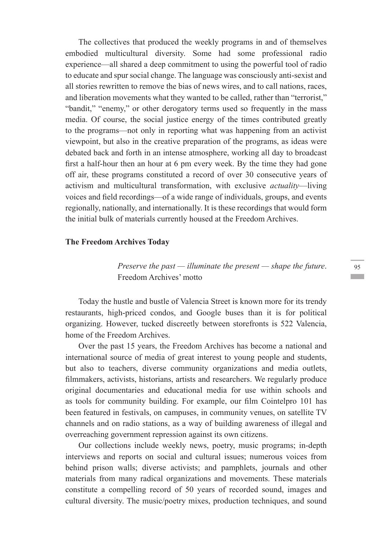The collectives that produced the weekly programs in and of themselves embodied multicultural diversity. Some had some professional radio experience—all shared a deep commitment to using the powerful tool of radio to educate and spur social change. The language was consciously anti-sexist and all stories rewritten to remove the bias of news wires, and to call nations, races, and liberation movements what they wanted to be called, rather than "terrorist," "bandit," "enemy," or other derogatory terms used so frequently in the mass media. Of course, the social justice energy of the times contributed greatly to the programs—not only in reporting what was happening from an activist viewpoint, but also in the creative preparation of the programs, as ideas were debated back and forth in an intense atmosphere, working all day to broadcast first a half-hour then an hour at 6 pm every week. By the time they had gone off air, these programs constituted a record of over 30 consecutive years of activism and multicultural transformation, with exclusive *actuality*—living voices and field recordings—of a wide range of individuals, groups, and events regionally, nationally, and internationally. It is these recordings that would form the initial bulk of materials currently housed at the Freedom Archives.

#### **The Freedom Archives Today**

*Preserve the past — illuminate the present — shape the future*. Freedom Archives' motto

Today the hustle and bustle of Valencia Street is known more for its trendy restaurants, high-priced condos, and Google buses than it is for political organizing. However, tucked discreetly between storefronts is 522 Valencia, home of the Freedom Archives.

Over the past 15 years, the Freedom Archives has become a national and international source of media of great interest to young people and students, but also to teachers, diverse community organizations and media outlets, filmmakers, activists, historians, artists and researchers. We regularly produce original documentaries and educational media for use within schools and as tools for community building. For example, our film Cointelpro 101 has been featured in festivals, on campuses, in community venues, on satellite TV channels and on radio stations, as a way of building awareness of illegal and overreaching government repression against its own citizens.

Our collections include weekly news, poetry, music programs; in-depth interviews and reports on social and cultural issues; numerous voices from behind prison walls; diverse activists; and pamphlets, journals and other materials from many radical organizations and movements. These materials constitute a compelling record of 50 years of recorded sound, images and cultural diversity. The music/poetry mixes, production techniques, and sound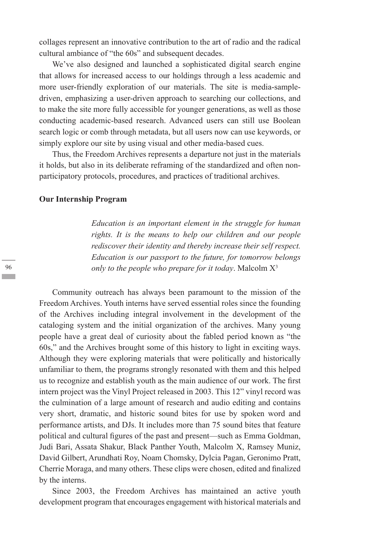collages represent an innovative contribution to the art of radio and the radical cultural ambiance of "the 60s" and subsequent decades.

We've also designed and launched a sophisticated digital search engine that allows for increased access to our holdings through a less academic and more user-friendly exploration of our materials. The site is media-sampledriven, emphasizing a user-driven approach to searching our collections, and to make the site more fully accessible for younger generations, as well as those conducting academic-based research. Advanced users can still use Boolean search logic or comb through metadata, but all users now can use keywords, or simply explore our site by using visual and other media-based cues.

Thus, the Freedom Archives represents a departure not just in the materials it holds, but also in its deliberate reframing of the standardized and often nonparticipatory protocols, procedures, and practices of traditional archives.

#### **Our Internship Program**

*Education is an important element in the struggle for human rights. It is the means to help our children and our people rediscover their identity and thereby increase their self respect. Education is our passport to the future, for tomorrow belongs only to the people who prepare for it today*. Malcolm X3

Community outreach has always been paramount to the mission of the Freedom Archives. Youth interns have served essential roles since the founding of the Archives including integral involvement in the development of the cataloging system and the initial organization of the archives. Many young people have a great deal of curiosity about the fabled period known as "the 60s," and the Archives brought some of this history to light in exciting ways. Although they were exploring materials that were politically and historically unfamiliar to them, the programs strongly resonated with them and this helped us to recognize and establish youth as the main audience of our work. The first intern project was the Vinyl Project released in 2003. This 12" vinyl record was the culmination of a large amount of research and audio editing and contains very short, dramatic, and historic sound bites for use by spoken word and performance artists, and DJs. It includes more than 75 sound bites that feature political and cultural figures of the past and present—such as Emma Goldman, Judi Bari, Assata Shakur, Black Panther Youth, Malcolm X, Ramsey Muniz, David Gilbert, Arundhati Roy, Noam Chomsky, Dylcia Pagan, Geronimo Pratt, Cherrie Moraga, and many others. These clips were chosen, edited and finalized by the interns.

Since 2003, the Freedom Archives has maintained an active youth development program that encourages engagement with historical materials and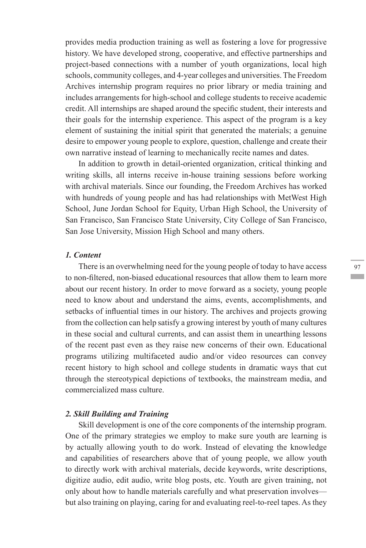provides media production training as well as fostering a love for progressive history. We have developed strong, cooperative, and effective partnerships and project-based connections with a number of youth organizations, local high schools, community colleges, and 4-year colleges and universities. The Freedom Archives internship program requires no prior library or media training and includes arrangements for high-school and college students to receive academic credit. All internships are shaped around the specific student, their interests and their goals for the internship experience. This aspect of the program is a key element of sustaining the initial spirit that generated the materials; a genuine desire to empower young people to explore, question, challenge and create their own narrative instead of learning to mechanically recite names and dates.

In addition to growth in detail-oriented organization, critical thinking and writing skills, all interns receive in-house training sessions before working with archival materials. Since our founding, the Freedom Archives has worked with hundreds of young people and has had relationships with MetWest High School, June Jordan School for Equity, Urban High School, the University of San Francisco, San Francisco State University, City College of San Francisco, San Jose University, Mission High School and many others.

## *1. Content*

There is an overwhelming need for the young people of today to have access to non-filtered, non-biased educational resources that allow them to learn more about our recent history. In order to move forward as a society, young people need to know about and understand the aims, events, accomplishments, and setbacks of influential times in our history. The archives and projects growing from the collection can help satisfy a growing interest by youth of many cultures in these social and cultural currents, and can assist them in unearthing lessons of the recent past even as they raise new concerns of their own. Educational programs utilizing multifaceted audio and/or video resources can convey recent history to high school and college students in dramatic ways that cut through the stereotypical depictions of textbooks, the mainstream media, and commercialized mass culture.

#### *2. Skill Building and Training*

Skill development is one of the core components of the internship program. One of the primary strategies we employ to make sure youth are learning is by actually allowing youth to do work. Instead of elevating the knowledge and capabilities of researchers above that of young people, we allow youth to directly work with archival materials, decide keywords, write descriptions, digitize audio, edit audio, write blog posts, etc. Youth are given training, not only about how to handle materials carefully and what preservation involves but also training on playing, caring for and evaluating reel-to-reel tapes. As they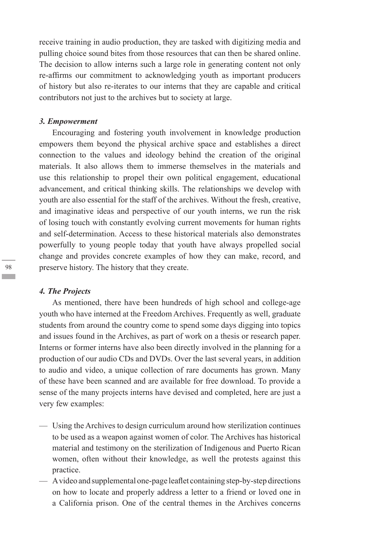receive training in audio production, they are tasked with digitizing media and pulling choice sound bites from those resources that can then be shared online. The decision to allow interns such a large role in generating content not only re-affirms our commitment to acknowledging youth as important producers of history but also re-iterates to our interns that they are capable and critical contributors not just to the archives but to society at large.

#### *3. Empowerment*

Encouraging and fostering youth involvement in knowledge production empowers them beyond the physical archive space and establishes a direct connection to the values and ideology behind the creation of the original materials. It also allows them to immerse themselves in the materials and use this relationship to propel their own political engagement, educational advancement, and critical thinking skills. The relationships we develop with youth are also essential for the staff of the archives. Without the fresh, creative, and imaginative ideas and perspective of our youth interns, we run the risk of losing touch with constantly evolving current movements for human rights and self-determination. Access to these historical materials also demonstrates powerfully to young people today that youth have always propelled social change and provides concrete examples of how they can make, record, and preserve history. The history that they create.

#### *4. The Projects*

As mentioned, there have been hundreds of high school and college-age youth who have interned at the Freedom Archives. Frequently as well, graduate students from around the country come to spend some days digging into topics and issues found in the Archives, as part of work on a thesis or research paper. Interns or former interns have also been directly involved in the planning for a production of our audio CDs and DVDs. Over the last several years, in addition to audio and video, a unique collection of rare documents has grown. Many of these have been scanned and are available for free download. To provide a sense of the many projects interns have devised and completed, here are just a very few examples:

- Using the Archives to design curriculum around how sterilization continues to be used as a weapon against women of color. The Archives has historical material and testimony on the sterilization of Indigenous and Puerto Rican women, often without their knowledge, as well the protests against this practice.
- A video and supplemental one-page leaflet containing step-by-step directions on how to locate and properly address a letter to a friend or loved one in a California prison. One of the central themes in the Archives concerns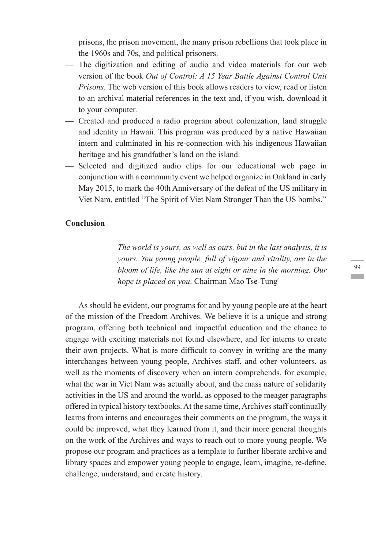prisons, the prison movement, the many prison rebellions that took place in the 1960s and 70s, and political prisoners.

- The digitization and editing of audio and video materials for our web version of the book *Out of Control: A 15 Year Battle Against Control Unit Prisons*. The web version of this book allows readers to view, read or listen to an archival material references in the text and, if you wish, download it to your computer.
- Created and produced a radio program about colonization, land struggle and identity in Hawaii. This program was produced by a native Hawaiian intern and culminated in his re-connection with his indigenous Hawaiian heritage and his grandfather's land on the island.
- Selected and digitized audio clips for our educational web page in conjunction with a community event we helped organize in Oakland in early May 2015, to mark the 40th Anniversary of the defeat of the US military in Viet Nam, entitled "The Spirit of Viet Nam Stronger Than the US bombs."

# **Conclusion**

*The world is yours, as well as ours, but in the last analysis, it is yours. You young people, full of vigour and vitality, are in the bloom of life, like the sun at eight or nine in the morning. Our hope is placed on you*. Chairman Mao Tse-Tung4

As should be evident, our programs for and by young people are at the heart of the mission of the Freedom Archives. We believe it is a unique and strong program, offering both technical and impactful education and the chance to engage with exciting materials not found elsewhere, and for interns to create their own projects. What is more difficult to convey in writing are the many interchanges between young people, Archives staff, and other volunteers, as well as the moments of discovery when an intern comprehends, for example, what the war in Viet Nam was actually about, and the mass nature of solidarity activities in the US and around the world, as opposed to the meager paragraphs offered in typical history textbooks. At the same time, Archives staff continually learns from interns and encourages their comments on the program, the ways it could be improved, what they learned from it, and their more general thoughts on the work of the Archives and ways to reach out to more young people. We propose our program and practices as a template to further liberate archive and library spaces and empower young people to engage, learn, imagine, re-define, challenge, understand, and create history.